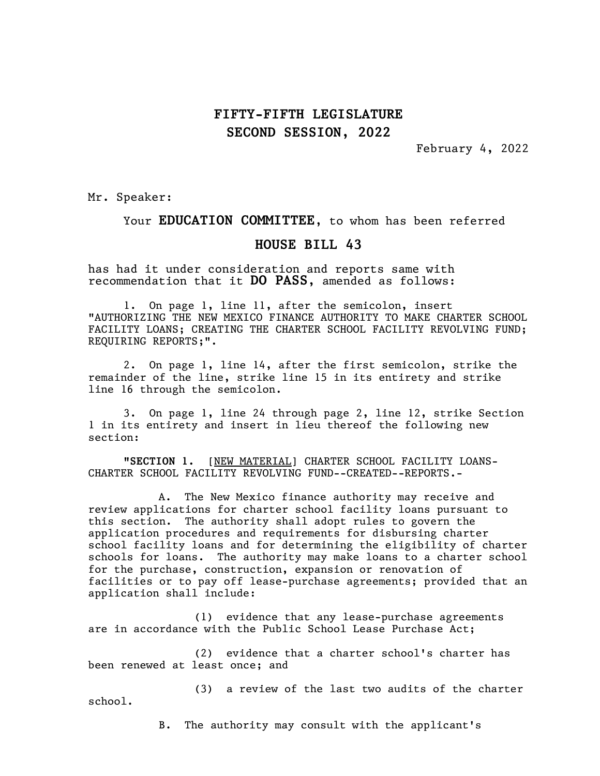## FIFTY-FIFTH LEGISLATURE SECOND SESSION, 2022

February 4, 2022

Mr. Speaker:

#### Your EDUCATION COMMITTEE, to whom has been referred

### HOUSE BILL 43

has had it under consideration and reports same with recommendation that it DO PASS, amended as follows:

1. On page 1, line 11, after the semicolon, insert "AUTHORIZING THE NEW MEXICO FINANCE AUTHORITY TO MAKE CHARTER SCHOOL FACILITY LOANS; CREATING THE CHARTER SCHOOL FACILITY REVOLVING FUND; REQUIRING REPORTS;".

2. On page 1, line 14, after the first semicolon, strike the remainder of the line, strike line 15 in its entirety and strike line 16 through the semicolon.

3. On page 1, line 24 through page 2, line 12, strike Section 1 in its entirety and insert in lieu thereof the following new section:

"SECTION 1. [NEW MATERIAL] CHARTER SCHOOL FACILITY LOANS-CHARTER SCHOOL FACILITY REVOLVING FUND--CREATED--REPORTS.-

A. The New Mexico finance authority may receive and review applications for charter school facility loans pursuant to this section. The authority shall adopt rules to govern the application procedures and requirements for disbursing charter school facility loans and for determining the eligibility of charter schools for loans. The authority may make loans to a charter school for the purchase, construction, expansion or renovation of facilities or to pay off lease-purchase agreements; provided that an application shall include:

(1) evidence that any lease-purchase agreements are in accordance with the Public School Lease Purchase Act;

(2) evidence that a charter school's charter has been renewed at least once; and

(3) a review of the last two audits of the charter school.

B. The authority may consult with the applicant's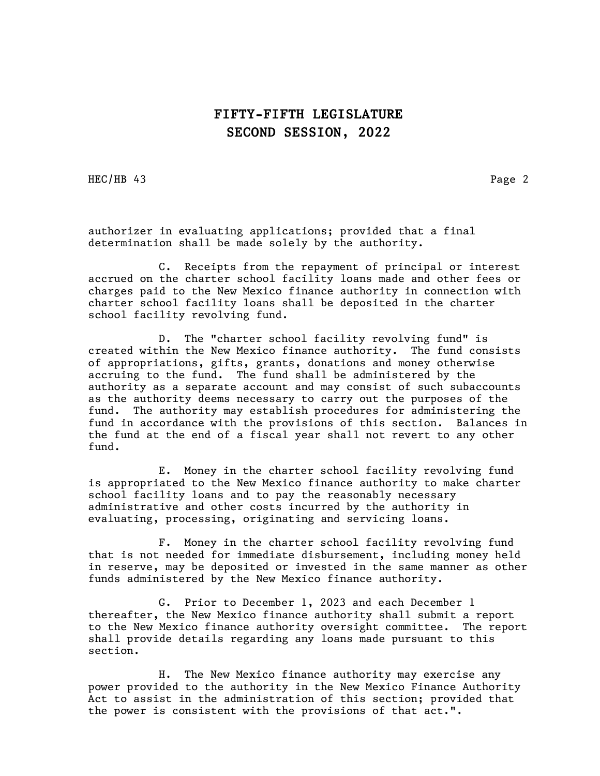## FIFTY-FIFTH LEGISLATURE SECOND SESSION, 2022

HEC/HB 43 Page 2

authorizer in evaluating applications; provided that a final determination shall be made solely by the authority.

C. Receipts from the repayment of principal or interest accrued on the charter school facility loans made and other fees or charges paid to the New Mexico finance authority in connection with charter school facility loans shall be deposited in the charter school facility revolving fund.

D. The "charter school facility revolving fund" is created within the New Mexico finance authority. The fund consists of appropriations, gifts, grants, donations and money otherwise accruing to the fund. The fund shall be administered by the authority as a separate account and may consist of such subaccounts as the authority deems necessary to carry out the purposes of the fund. The authority may establish procedures for administering the fund in accordance with the provisions of this section. Balances in the fund at the end of a fiscal year shall not revert to any other fund.

E. Money in the charter school facility revolving fund is appropriated to the New Mexico finance authority to make charter school facility loans and to pay the reasonably necessary administrative and other costs incurred by the authority in evaluating, processing, originating and servicing loans.

F. Money in the charter school facility revolving fund that is not needed for immediate disbursement, including money held in reserve, may be deposited or invested in the same manner as other funds administered by the New Mexico finance authority.

G. Prior to December 1, 2023 and each December 1 thereafter, the New Mexico finance authority shall submit a report to the New Mexico finance authority oversight committee. The report shall provide details regarding any loans made pursuant to this section.

H. The New Mexico finance authority may exercise any power provided to the authority in the New Mexico Finance Authority Act to assist in the administration of this section; provided that the power is consistent with the provisions of that act.".